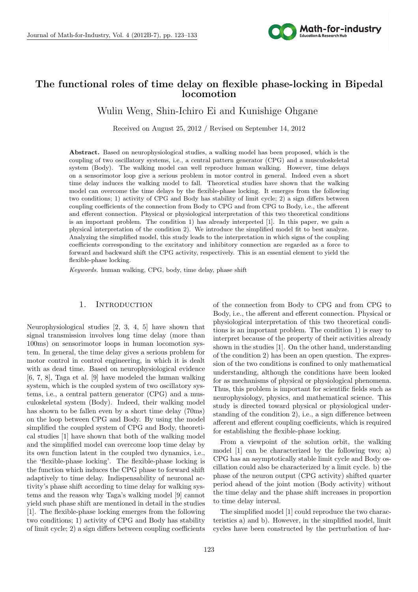

# **The functional roles of time delay on flexible phase-locking in Bipedal locomotion**

 $\mathbf{D}$   $\mathbf{D}$   $\mathbf{D}$   $\mathbf{D}$   $\mathbf{D}$   $\mathbf{D}$   $\mathbf{D}$   $\mathbf{D}$   $\mathbf{D}$   $\mathbf{D}$   $\mathbf{D}$   $\mathbf{D}$   $\mathbf{D}$   $\mathbf{D}$   $\mathbf{D}$   $\mathbf{D}$   $\mathbf{D}$   $\mathbf{D}$   $\mathbf{D}$   $\mathbf{D}$   $\mathbf{D}$   $\mathbf{D}$   $\mathbf{D}$   $\mathbf{D}$   $\mathbf{$ Wulin Weng, Shin-Ichiro Ei and Kunishige Ohgane

Received on August 25, 2012 / Revised on September 14, 2012

**Abstract.** Based on neurophysiological studies, a walking model has been proposed, which is the coupling of two oscillatory systems, i.e., a central pattern generator (CPG) and a musculoskeletal system (Body). The walking model can well reproduce human walking. However, time delays on a sensorimotor loop give a serious problem in motor control in general. Indeed even a short time delay induces the walking model to fall. Theoretical studies have shown that the walking model can overcome the time delays by the flexible-phase locking. It emerges from the following two conditions; 1) activity of CPG and Body has stability of limit cycle; 2) a sign differs between coupling coefficients of the connection from Body to CPG and from CPG to Body, i.e., the afferent and efferent connection. Physical or physiological interpretation of this two theoretical conditions is an important problem. The condition 1) has already interpreted [1]. In this paper, we gain a physical interpretation of the condition 2). We introduce the simplified model fit to best analyze. Analyzing the simplified model, this study leads to the interpretation in which signs of the coupling coefficients corresponding to the excitatory and inhibitory connection are regarded as a force to forward and backward shift the CPG activity, respectively. This is an essential element to yield the flexible-phase locking.

*Keywords.* human walking, CPG, body, time delay, phase shift

# 1. INTRODUCTION

Neurophysiological studies [2, 3, 4, 5] have shown that signal transmission involves long time delay (more than 100ms) on sensorimotor loops in human locomotion system. In general, the time delay gives a serious problem for motor control in control engineering, in which it is dealt with as dead time. Based on neurophysiological evidence [6, 7, 8], Taga et al. [9] have modeled the human walking system, which is the coupled system of two oscillatory systems, i.e., a central pattern generator (CPG) and a musculoskeletal system (Body). Indeed, their walking model has shown to be fallen even by a short time delay (70ms) on the loop between CPG and Body. By using the model simplified the coupled system of CPG and Body, theoretical studies [1] have shown that both of the walking model and the simplified model can overcome loop time delay by its own function latent in the coupled two dynamics, i.e., the 'flexible-phase locking'. The flexible-phase locking is the function which induces the CPG phase to forward shift adaptively to time delay. Indispensability of neuronal activity's phase shift according to time delay for walking systems and the reason why Taga's walking model [9] cannot yield such phase shift are mentioned in detail in the studies [1]. The flexible-phase locking emerges from the following two conditions; 1) activity of CPG and Body has stability of limit cycle; 2) a sign differs between coupling coefficients

of the connection from Body to CPG and from CPG to Body, i.e., the afferent and efferent connection. Physical or physiological interpretation of this two theoretical conditions is an important problem. The condition 1) is easy to interpret because of the property of their activities already shown in the studies [1]. On the other hand, understanding of the condition 2) has been an open question. The expression of the two conditions is confined to only mathematical understanding, although the conditions have been looked for as mechanisms of physical or physiological phenomena. Thus, this problem is important for scientific fields such as neurophysiology, physics, and mathematical science. This study is directed toward physical or physiological understanding of the condition 2), i.e., a sign difference between afferent and efferent coupling coefficients, which is required for establishing the flexible-phase locking.

From a viewpoint of the solution orbit, the walking model [1] can be characterized by the following two; a) CPG has an asymptotically stable limit cycle and Body oscillation could also be characterized by a limit cycle. b) the phase of the neuron output (CPG activity) shifted quarter period ahead of the joint motion (Body activity) without the time delay and the phase shift increases in proportion to time delay interval.

The simplified model [1] could reproduce the two characteristics a) and b). However, in the simplified model, limit cycles have been constructed by the perturbation of har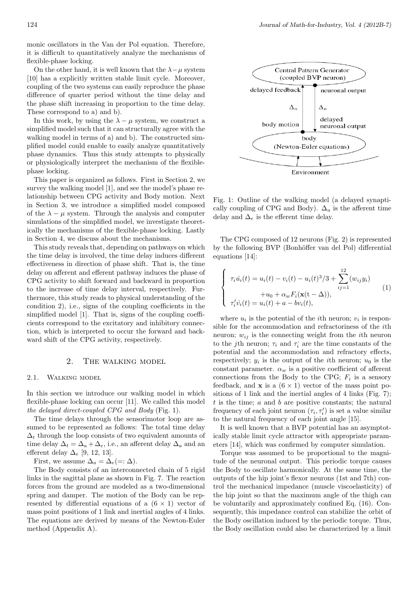monic oscillators in the Van der Pol equation. Therefore, it is difficult to quantitatively analyze the mechanisms of flexible-phase locking.

On the other hand, it is well known that the  $\lambda - \mu$  system [10] has a explicitly written stable limit cycle. Moreover, coupling of the two systems can easily reproduce the phase difference of quarter period without the time delay and the phase shift increasing in proportion to the time delay. These correspond to a) and b).

In this work, by using the  $\lambda - \mu$  system, we construct a simplified model such that it can structurally agree with the walking model in terms of a) and b). The constructed simplified model could enable to easily analyze quantitatively phase dynamics. Thus this study attempts to physically or physiologically interpret the mechanism of the flexiblephase locking.

This paper is organized as follows. First in Section 2, we survey the walking model [1], and see the model's phase relationship between CPG activity and Body motion. Next in Section 3, we introduce a simplified model composed of the  $\lambda - \mu$  system. Through the analysis and computer simulations of the simplified model, we investigate theoretically the mechanisms of the flexible-phase locking. Lastly in Section 4, we discuss about the mechanisms.

This study reveals that, depending on pathways on which the time delay is involved, the time delay induces different effectiveness in direction of phase shift. That is, the time delay on afferent and efferent pathway induces the phase of CPG activity to shift forward and backward in proportion to the increase of time delay interval, respectively. Furthermore, this study reads to physical understanding of the condition 2), i.e., signs of the coupling coefficients in the simplified model [1]. That is, signs of the coupling coefficients correspond to the excitatory and inhibitory connection, which is interpreted to occur the forward and backward shift of the CPG activity, respectively.

#### 2. The walking model

#### 2.1. Walking model

In this section we introduce our walking model in which flexible-phase locking can occur [11]. We called this model *the delayed direct-coupled CPG and Body* (Fig. 1).

The time delays through the sensorimotor loop are assumed to be represented as follows: The total time delay  $\Delta_t$  through the loop consists of two equivalent amounts of time delay  $\Delta_t = \Delta_a + \Delta_e$ , i.e., an afferent delay  $\Delta_a$  and an efferent delay ∆*<sup>e</sup>* [9, 12, 13].

First, we assume  $\Delta_a = \Delta_e (=:\Delta)$ .

The Body consists of an interconnected chain of 5 rigid links in the sagittal plane as shown in Fig. 7. The reaction forces from the ground are modeled as a two-dimensional spring and damper. The motion of the Body can be represented by differential equations of a  $(6 \times 1)$  vector of mass point positions of 1 link and inertial angles of 4 links. The equations are derived by means of the Newton-Euler method (Appendix A).



Fig. 1: Outline of the walking model (a delayed synaptically coupling of CPG and Body).  $\Delta_a$  is the afferent time delay and  $\Delta_e$  is the efferent time delay.

The CPG composed of 12 neurons (Fig. 2) is represented by the following BVP (Bonhöffer van del Pol) differential equations [14]:

$$
\begin{cases}\n\tau_i \dot{u}_i(t) = u_i(t) - v_i(t) - u_i(t)^3 / 3 + \sum_{ij=1}^{12} (w_{ij} y_i) \\
+ u_0 + \alpha_w F_i(\mathbf{x}(t - \Delta)), \\
\tau'_i \dot{v}_i(t) = u_i(t) + a - b v_i(t),\n\end{cases}
$$
\n(1)

where  $u_i$  is the potential of the *i*<sup>th</sup> neuron;  $v_i$  is responsible for the accommodation and refractoriness of the *i*th neuron;  $w_{ij}$  is the connecting weight from the *i*<sup>th</sup> neuron to the *j*th neuron;  $\tau_i$  and  $\tau_i$  are the time constants of the potential and the accommodation and refractory effects, respectively;  $y_i$  is the output of the *i*<sup>th</sup> neuron;  $u_0$  is the constant parameter.  $\alpha_w$  is a positive coefficient of afferent connections from the Body to the CPG;  $F_i$  is a sensory feedback, and **x** is a  $(6 \times 1)$  vector of the mass point positions of 1 link and the inertial angles of 4 links (Fig. 7); *t* is the time; *a* and *b* are positive constants; the natural frequency of each joint neuron  $(\tau_i, \tau'_i)$  is set a value similar to the natural frequency of each joint angle [15].

It is well known that a BVP potential has an asymptotically stable limit cycle attractor with appropriate parameters [14], which was confirmed by computer simulation.

Torque was assumed to be proportional to the magnitude of the neuronal output. This periodic torque causes the Body to oscillate harmonically. At the same time, the outputs of the hip joint's flexor neurons (1st and 7th) control the mechanical impedance (muscle viscoelasticity) of the hip joint so that the maximum angle of the thigh can be voluntarily and approximately confined Eq. (16). Consequently, this impedance control can stabilize the orbit of the Body oscillation induced by the periodic torque. Thus, the Body oscillation could also be characterized by a limit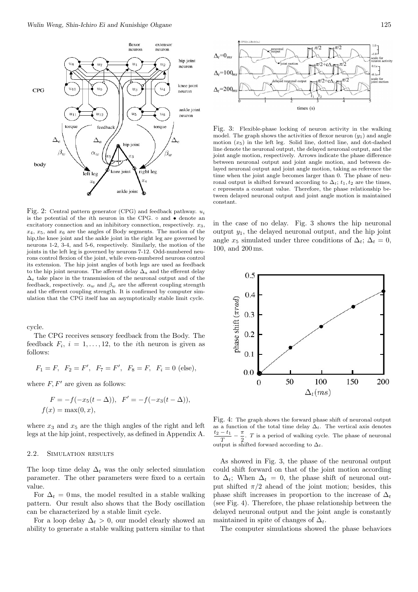

Fig. 2: Central pattern generator (CPG) and feedback pathway. *u<sup>i</sup>* is the potential of the *i*th neuron in the CPG. *◦* and *•* denote an excitatory connection and an inhibitory connection, respectively.  $x_3$ , *x*4, *x*5, and *x*<sup>6</sup> are the angles of Body segments. The motion of the hip,the knee joint and the ankle joint in the right leg are governed by neurons 1-2, 3-4, and 5-6, respectively. Similarly, the motion of the joints in the left leg is governed by neurons 7-12. Odd-numbered neurons control flexion of the joint, while even-numbered neurons control its extension. The hip joint angles of both legs are used as feedback to the hip joint neurons. The afferent delay  $\Delta_a$  and the efferent delay  $\Delta_e$  take place in the transmission of the neuronal output and of the feedback, respectively.  $\alpha_w$  and  $\beta_w$  are the afferent coupling strength and the efferent coupling strength. It is confirmed by computer simulation that the CPG itself has an asymptotically stable limit cycle.

cycle.

The CPG receives sensory feedback from the Body. The feedback  $F_i$ ,  $i = 1, \ldots, 12$ , to the *i*th neuron is given as follows:

$$
F_1 = F
$$
,  $F_2 = F'$ ,  $F_7 = F'$ ,  $F_8 = F$ ,  $F_i = 0$  (else),

where  $F, F'$  are given as follows:

$$
F = -f(-x_5(t - \Delta)), \quad F' = -f(-x_3(t - \Delta)),
$$
  

$$
f(x) = \max(0, x),
$$

where  $x_3$  and  $x_5$  are the thigh angles of the right and left legs at the hip joint, respectively, as defined in Appendix A.

#### 2.2. Simulation results

The loop time delay  $\Delta_t$  was the only selected simulation parameter. The other parameters were fixed to a certain value.

For  $\Delta_t = 0$  ms, the model resulted in a stable walking pattern. Our result also shows that the Body oscillation can be characterized by a stable limit cycle.

For a loop delay  $\Delta_t > 0$ , our model clearly showed an ability to generate a stable walking pattern similar to that



Fig. 3: Flexible-phase locking of neuron activity in the walking model. The graph shows the activities of flexor neuron  $(y_1)$  and angle motion  $(x_5)$  in the left leg. Solid line, dotted line, and dot-dashed line denote the neuronal output, the delayed neuronal output, and the joint angle motion, respectively. Arrows indicate the phase difference between neuronal output and joint angle motion, and between delayed neuronal output and joint angle motion, taking as reference the time when the joint angle becomes larger than 0. The phase of neuronal output is shifted forward according to  $\Delta_t$ ;  $t_1, t_2$  are the times, *c* represents a constant value. Therefore, the phase relationship between delayed neuronal output and joint angle motion is maintained constant.

in the case of no delay. Fig. 3 shows the hip neuronal output *y*1, the delayed neuronal output, and the hip joint angle  $x_5$  simulated under three conditions of  $\Delta_t$ ;  $\Delta_t = 0$ , 100, and 200 ms.



Fig. 4: The graph shows the forward phase shift of neuronal output as a function of the total time delay  $\Delta_t$ . The vertical axis denotes *t*<sup>2</sup> *− t*<sup>1</sup> *T − π*  $\frac{n}{2}$ . *T* is a period of walking cycle. The phase of neuronal output is shifted forward according to ∆*t*.

As showed in Fig. 3, the phase of the neuronal output could shift forward on that of the joint motion according to  $\Delta_t$ ; When  $\Delta_t = 0$ , the phase shift of neuronal output shifted  $\pi/2$  ahead of the joint motion; besides, this phase shift increases in proportion to the increase of  $\Delta_t$ (see Fig. 4). Therefore, the phase relationship between the delayed neuronal output and the joint angle is constantly maintained in spite of changes of ∆*t*.

The computer simulations showed the phase behaviors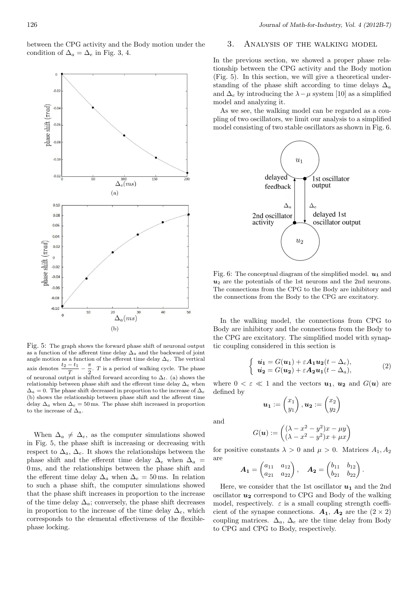between the CPG activity and the Body motion under the condition of  $\Delta_a = \Delta_e$  in Fig. 3, 4.



Fig. 5: The graph shows the forward phase shift of neuronal output as a function of the afferent time delay ∆*a* and the backward of joint angle motion as a function of the efferent time delay ∆*e*. The vertical axis denotes  $\frac{t_2 - t_1}{T}$ *T − π*  $\frac{\pi}{2}$ . *T* is a period of walking cycle. The phase of neuronal output is shifted forward according to ∆*t*. (a) shows the relationship between phase shift and the efferent time delay ∆*e* when  $\Delta_a = 0$ . The phase shift decreased in proportion to the increase of  $\Delta_e$ (b) shows the relationship between phase shift and the afferent time delay  $\Delta_a$  when  $\Delta_e = 50$  ms. The phase shift increased in proportion to the increase of ∆*a*.

When  $\Delta_a \neq \Delta_e$ , as the computer simulations showed in Fig. 5, the phase shift is increasing or decreasing with respect to  $\Delta_a$ ,  $\Delta_e$ . It shows the relationships between the phase shift and the efferent time delay  $\Delta_e$  when  $\Delta_a$  = 0 ms, and the relationships between the phase shift and the efferent time delay  $\Delta_a$  when  $\Delta_e = 50$  ms. In relation to such a phase shift, the computer simulations showed that the phase shift increases in proportion to the increase of the time delay  $\Delta_a$ ; conversely, the phase shift decreases in proportion to the increase of the time delay  $\Delta_e$ , which corresponds to the elemental effectiveness of the flexiblephase locking.

# 3. Analysis of the walking model

In the previous section, we showed a proper phase relationship between the CPG activity and the Body motion (Fig. 5). In this section, we will give a theoretical understanding of the phase shift according to time delays  $\Delta_a$ and  $\Delta_e$  by introducing the  $\lambda - \mu$  system [10] as a simplified model and analyzing it.

As we see, the walking model can be regarded as a coupling of two oscillators, we limit our analysis to a simplified model consisting of two stable oscillators as shown in Fig. 6.



Fig. 6: The conceptual diagram of the simplified model.  $u_1$  and  $u_2$  are the potentials of the 1st neurons and the 2nd neurons. The connections from the CPG to the Body are inhibitory and the connections from the Body to the CPG are excitatory.

In the walking model, the connections from CPG to Body are inhibitory and the connections from the Body to the CPG are excitatory. The simplified model with synaptic coupling considered in this section is

$$
\begin{cases}\n\dot{u}_1 = G(u_1) + \varepsilon A_1 u_2(t - \Delta_e), \\
\dot{u}_2 = G(u_2) + \varepsilon A_2 u_1(t - \Delta_a),\n\end{cases} (2)
$$

where  $0 < \varepsilon \ll 1$  and the vectors  $u_1$ ,  $u_2$  and  $G(u)$  are defined by

$$
\boldsymbol{u_1} := \begin{pmatrix} x_1 \\ y_1 \end{pmatrix}, \boldsymbol{u_2} := \begin{pmatrix} x_2 \\ y_2 \end{pmatrix}
$$

and

$$
G(\mathbf{u}) := \begin{pmatrix} (\lambda - x^2 - y^2)x - \mu y \\ (\lambda - x^2 - y^2)x + \mu x \end{pmatrix}
$$

for positive constants  $\lambda > 0$  and  $\mu > 0$ . Matrices  $A_1, A_2$ are

$$
\boldsymbol{A_1} = \begin{pmatrix} a_{11} & a_{12} \\ a_{21} & a_{22} \end{pmatrix}, \quad \boldsymbol{A_2} = \begin{pmatrix} b_{11} & b_{12} \\ b_{21} & b_{22} \end{pmatrix}.
$$

Here, we consider that the 1st oscillator  $u_1$  and the 2nd oscillator  $u_2$  correspond to CPG and Body of the walking model, respectively.  $\varepsilon$  is a small coupling strength coefficient of the synapse connections.  $A_1$ ,  $A_2$  are the  $(2 \times 2)$ coupling matrices.  $\Delta_a$ ,  $\Delta_e$  are the time delay from Body to CPG and CPG to Body, respectively.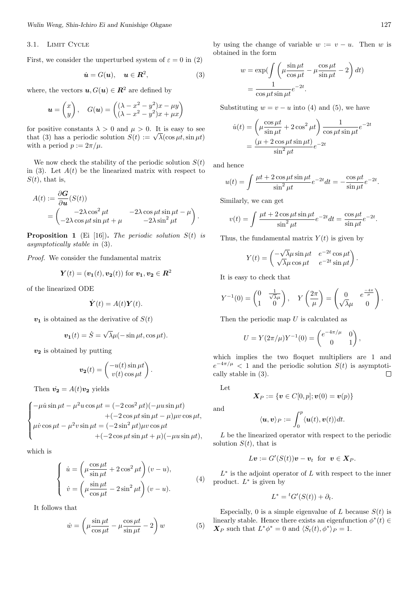#### 3.1. LIMIT CYCLE

First, we consider the unperturbed system of  $\varepsilon = 0$  in (2)

$$
\dot{\mathbf{u}} = G(\mathbf{u}), \quad \mathbf{u} \in \mathbf{R}^2, \tag{3}
$$

where, the vectors  $u, G(u) \in \mathbb{R}^2$  are defined by

$$
\mathbf{u} = \begin{pmatrix} x \\ y \end{pmatrix}, \quad G(\mathbf{u}) = \begin{pmatrix} (\lambda - x^2 - y^2)x - \mu y \\ (\lambda - x^2 - y^2)x + \mu x \end{pmatrix}
$$

for positive constants  $\lambda > 0$  and  $\mu > 0$ . It is easy to see that (3) has a periodic solution  $S(t) := \sqrt{\lambda}(\cos \mu t, \sin \mu t)$ with a period  $p := 2\pi/\mu$ .

We now check the stability of the periodic solution  $S(t)$ in  $(3)$ . Let  $A(t)$  be the linearized matrix with respect to  $S(t)$ , that is,

$$
A(t) := \frac{\partial G}{\partial u}(S(t))
$$
  
=  $\begin{pmatrix} -2\lambda \cos^2 \mu t & -2\lambda \cos \mu t \sin \mu t - \mu \\ -2\lambda \cos \mu t \sin \mu t + \mu & -2\lambda \sin^2 \mu t \end{pmatrix}.$ 

**Proposition 1** (Ei [16])**.** *The periodic solution S*(*t*) *is asymptotically stable in* (3)*.*

*Proof.* We consider the fundamental matrix

$$
\mathbf{Y}(t) = (\mathbf{v_1}(t), \mathbf{v_2}(t)) \text{ for } \mathbf{v_1}, \mathbf{v_2} \in \mathbf{R}^2
$$

of the linearized ODE

$$
\dot{\boldsymbol{Y}}(t) = A(t)\boldsymbol{Y}(t).
$$

 $v_1$  is obtained as the derivative of  $S(t)$ 

$$
\boldsymbol{v_1}(t) = \dot{S} = \sqrt{\lambda}\mu(-\sin\mu t, \cos\mu t).
$$

*v***<sup>2</sup>** is obtained by putting

$$
\mathbf{v_2}(t) = \begin{pmatrix} -u(t)\sin\mu t \\ v(t)\cos\mu t \end{pmatrix}.
$$

Then  $\dot{v}_2 = A(t)v_2$  yields

$$
\begin{cases}\n-\mu \dot{u} \sin \mu t - \mu^2 u \cos \mu t = (-2 \cos^2 \mu t)(-\mu u \sin \mu t) \\
+ (-2 \cos \mu t \sin \mu t - \mu) \mu v \cos \mu t, \\
\mu \dot{v} \cos \mu t - \mu^2 v \sin \mu t = (-2 \sin^2 \mu t) \mu v \cos \mu t \\
+ (-2 \cos \mu t \sin \mu t + \mu)(-\mu u \sin \mu t),\n\end{cases}
$$

which is

$$
\begin{cases}\n\dot{u} = \left(\mu \frac{\cos \mu t}{\sin \mu t} + 2 \cos^2 \mu t\right)(v - u), \\
\dot{v} = \left(\mu \frac{\sin \mu t}{\cos \mu t} - 2 \sin^2 \mu t\right)(v - u).\n\end{cases} (4)
$$

It follows that

$$
\dot{w} = \left(\mu \frac{\sin \mu t}{\cos \mu t} - \mu \frac{\cos \mu t}{\sin \mu t} - 2\right) w \tag{5}
$$

by using the change of variable  $w := v - u$ . Then  $w$  is obtained in the form

$$
w = \exp\left(\int \left(\mu \frac{\sin \mu t}{\cos \mu t} - \mu \frac{\cos \mu t}{\sin \mu t} - 2\right) dt\right)
$$

$$
= \frac{1}{\cos \mu t \sin \mu t} e^{-2t}.
$$

Substituting  $w = v - u$  into (4) and (5), we have

$$
\dot{u}(t) = \left(\mu \frac{\cos \mu t}{\sin \mu t} + 2 \cos^2 \mu t\right) \frac{1}{\cos \mu t \sin \mu t} e^{-2t}
$$

$$
= \frac{(\mu + 2 \cos \mu t \sin \mu t)}{\sin^2 \mu t} e^{-2t}
$$

and hence

$$
u(t) = \int \frac{\mu t + 2\cos\mu t \sin\mu t}{\sin^2\mu t} e^{-2t} dt = -\frac{\cos\mu t}{\sin\mu t} e^{-2t}.
$$

Similarly, we can get

$$
v(t) = \int \frac{\mu t + 2\cos\mu t \sin\mu t}{\sin^2\mu t} e^{-2t} dt = \frac{\cos\mu t}{\sin\mu t} e^{-2t}.
$$

Thus, the fundamental matrix  $Y(t)$  is given by

$$
Y(t) = \begin{pmatrix} -\sqrt{\lambda}\mu \sin \mu t & e^{-2t} \cos \mu t \\ \sqrt{\lambda}\mu \cos \mu t & e^{-2t} \sin \mu t \end{pmatrix}.
$$

It is easy to check that

$$
Y^{-1}(0) = \begin{pmatrix} 0 & \frac{1}{\sqrt{\lambda}\mu} \\ 1 & 0 \end{pmatrix}, \quad Y\left(\frac{2\pi}{\mu}\right) = \begin{pmatrix} 0 & e^{\frac{-4\pi}{\mu}} \\ \sqrt{\lambda}\mu & 0 \end{pmatrix}.
$$

Then the periodic map *U* is calculated as

$$
U = Y(2\pi/\mu)Y^{-1}(0) = \begin{pmatrix} e^{-4\pi/\mu} & 0\\ 0 & 1 \end{pmatrix},
$$

which implies the two floquet multipliers are 1 and  $e^{-4\pi/\mu}$  < 1 and the periodic solution *S(t)* is asymptotically stable in (3).  $\Box$ 

Let

$$
\bm{X}_P := \{\bm{v} \in C[0,p]; \bm{v}(0) = \bm{v}(p)\}
$$

and

$$
\langle \boldsymbol{u}, \boldsymbol{v} \rangle_P := \int_0^p \langle \boldsymbol{u}(t), \boldsymbol{v}(t) \rangle dt.
$$

*L* be the linearized operator with respect to the periodic solution  $S(t)$ , that is

$$
L\boldsymbol{v} := G'(S(t))\boldsymbol{v} - \boldsymbol{v}_t \ \text{ for } \ \boldsymbol{v} \in \boldsymbol{X}_P.
$$

*L ∗* is the adjoint operator of *L* with respect to the inner product. *L ∗* is given by

$$
L^* = {}^tG'(S(t)) + \partial_t.
$$

Especially, 0 is a simple eigenvalue of *L* because  $S(t)$  is linearly stable. Hence there exists an eigenfunction  $\phi^*(t) \in$ *X*<sup>*P*</sup> such that  $L^*\phi^* = 0$  and  $\langle S_t(t), \phi^* \rangle_P = 1$ .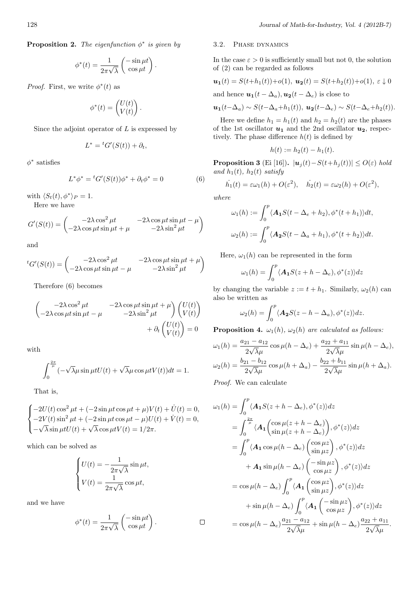$$
\phi^*(t) = \frac{1}{2\pi\sqrt{\lambda}} \begin{pmatrix} -\sin\mu t \\ \cos\mu t \end{pmatrix}.
$$

*Proof.* First, we write  $\phi^*(t)$  as

$$
\phi^*(t) = \begin{pmatrix} U(t) \\ V(t) \end{pmatrix}.
$$

Since the adjoint operator of *L* is expressed by

$$
L^* = {}^tG'(S(t)) + \partial_t,
$$

*ϕ ∗* satisfies

$$
L^*\phi^* = {}^tG'(S(t))\phi^* + \partial_t \phi^* = 0 \tag{6}
$$

with  $\langle S_t(t), \phi^* \rangle_P = 1$ .

Here we have

$$
G'(S(t)) = \begin{pmatrix} -2\lambda \cos^2 \mu t & -2\lambda \cos \mu t \sin \mu t - \mu \\ -2\lambda \cos \mu t \sin \mu t + \mu & -2\lambda \sin^2 \mu t \end{pmatrix}
$$

and

$$
{}^{t}G'(S(t)) = \begin{pmatrix} -2\lambda \cos^{2} \mu t & -2\lambda \cos \mu t \sin \mu t + \mu \\ -2\lambda \cos \mu t \sin \mu t - \mu & -2\lambda \sin^{2} \mu t \end{pmatrix}
$$

Therefore (6) becomes

$$
\begin{pmatrix} -2\lambda \cos^2 \mu t & -2\lambda \cos \mu t \sin \mu t + \mu \\ -2\lambda \cos \mu t \sin \mu t - \mu & -2\lambda \sin^2 \mu t \end{pmatrix} \begin{pmatrix} U(t) \\ V(t) \end{pmatrix} + \partial_t \begin{pmatrix} U(t) \\ V(t) \end{pmatrix} = 0
$$

with

$$
\int_0^{\frac{2\pi}{\mu}} (-\sqrt{\lambda}\mu\sin\mu tU(t) + \sqrt{\lambda}\mu\cos\mu tV(t))dt = 1.
$$

That is,

$$
\begin{cases}\n-2U(t)\cos^2\mu t + (-2\sin\mu t \cos\mu t + \mu)V(t) + \dot{U}(t) = 0, \\
-2V(t)\sin^2\mu t + (-2\sin\mu t \cos\mu t - \mu)U(t) + \dot{V}(t) = 0, \\
-\sqrt{\lambda}\sin\mu tU(t) + \sqrt{\lambda}\cos\mu tV(t) = 1/2\pi.\n\end{cases}
$$

which can be solved as

$$
\begin{cases}\nU(t) = -\frac{1}{2\pi\sqrt{\lambda}}\sin \mu t, \\
V(t) = \frac{1}{2\pi\sqrt{\lambda}}\cos \mu t,\n\end{cases}
$$

and we have

$$
\phi^*(t) = \frac{1}{2\pi\sqrt{\lambda}} \begin{pmatrix} -\sin\mu t \\ \cos\mu t \end{pmatrix} . \qquad \qquad \Box
$$

#### 3.2. Phase dynamics

In the case  $\varepsilon > 0$  is sufficiently small but not 0, the solution of (2) can be regarded as follows

$$
\mathbf{u_1}(t) = S(t+h_1(t)) + o(1), \ \mathbf{u_2}(t) = S(t+h_2(t)) + o(1), \ \varepsilon \downarrow 0
$$

and hence  $u_1(t - \Delta_a)$ ,  $u_2(t - \Delta_e)$  is close to

$$
\mathbf{u_1}(t-\Delta_a) \sim S(t-\Delta_a+h_1(t)), \; \mathbf{u_2}(t-\Delta_e) \sim S(t-\Delta_e+h_2(t)).
$$

Here we define  $h_1 = h_1(t)$  and  $h_2 = h_2(t)$  are the phases of the 1st oscillator  $u_1$  and the 2nd oscillator  $u_2$ , respectively. The phase difference  $h(t)$  is defined by

$$
h(t) := h_2(t) - h_1(t).
$$

**Proposition 3** (Ei [16]).  $|\boldsymbol{u}_j(t) - S(t + h_j(t))| \le O(\varepsilon)$  *hold and*  $h_1(t)$ *,*  $h_2(t)$  *satisfy* 

$$
h_1(t) = \varepsilon \omega_1(h) + O(\varepsilon^2), \quad h_2(t) = \varepsilon \omega_2(h) + O(\varepsilon^2),
$$

*where*

$$
\omega_1(h) := \int_0^p \langle \mathbf{A}_1 S(t - \Delta_e + h_2), \phi^*(t + h_1) \rangle dt,
$$
  

$$
\omega_2(h) := \int_0^p \langle \mathbf{A}_2 S(t - \Delta_a + h_1), \phi^*(t + h_2) \rangle dt.
$$

Here,  $\omega_1(h)$  can be represented in the form

$$
\omega_1(h) = \int_0^p \langle \mathbf{A}_1 S(z + h - \Delta_e), \phi^*(z) \rangle dz
$$

by changing the variable  $z := t + h_1$ . Similarly,  $\omega_2(h)$  can also be written as

$$
\omega_2(h) = \int_0^p \langle \mathbf{A}_2 S(z - h - \Delta_a), \phi^*(z) \rangle dz.
$$

**Proposition 4.**  $\omega_1(h)$ ,  $\omega_2(h)$  *are calculated as follows:* 

$$
\omega_1(h) = \frac{a_{21} - a_{12}}{2\sqrt{\lambda}\mu} \cos \mu(h - \Delta_e) + \frac{a_{22} + a_{11}}{2\sqrt{\lambda}\mu} \sin \mu(h - \Delta_e),
$$
  

$$
\omega_2(h) = \frac{b_{21} - b_{12}}{2\sqrt{\lambda}\mu} \cos \mu(h + \Delta_a) - \frac{b_{22} + b_{11}}{2\sqrt{\lambda}\mu} \sin \mu(h + \Delta_a).
$$

*Proof.* We can calculate

$$
\omega_1(h) = \int_0^p \langle A_1 S(z + h - \Delta_e), \phi^*(z) \rangle dz
$$
  
\n
$$
= \int_0^{\frac{2\pi}{\mu}} \langle A_1 \left( \frac{\cos \mu(z + h - \Delta_e)}{\sin \mu(z + h - \Delta_e)} \right), \phi^*(z) \rangle dz
$$
  
\n
$$
= \int_0^p \langle A_1 \cos \mu(h - \Delta_e) \left( \frac{\cos \mu z}{\sin \mu z} \right), \phi^*(z) \rangle dz
$$
  
\n
$$
+ A_1 \sin \mu(h - \Delta_e) \left( -\frac{\sin \mu z}{\cos \mu z} \right), \phi^*(z) \rangle dz
$$
  
\n
$$
= \cos \mu(h - \Delta_e) \int_0^p \langle A_1 \left( \frac{\cos \mu z}{\sin \mu z} \right), \phi^*(z) \rangle dz
$$
  
\n
$$
+ \sin \mu(h - \Delta_e) \int_0^p \langle A_1 \left( \frac{-\sin \mu z}{\cos \mu z} \right), \phi^*(z) \rangle dz
$$
  
\n
$$
= \cos \mu(h - \Delta_e) \frac{a_{21} - a_{12}}{2\sqrt{\lambda \mu}} + \sin \mu(h - \Delta_e) \frac{a_{22} + a_{11}}{2\sqrt{\lambda \mu}}
$$

*.*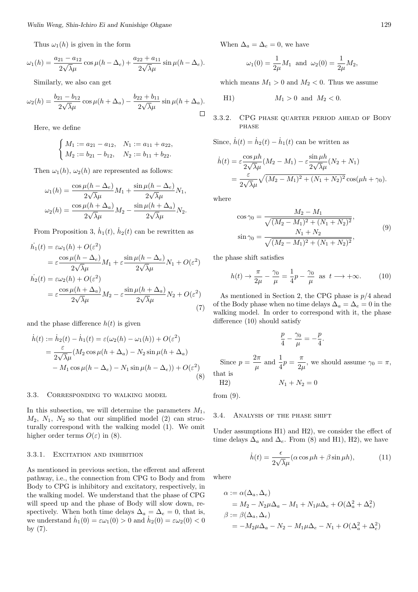Thus  $\omega_1(h)$  is given in the form

$$
\omega_1(h) = \frac{a_{21} - a_{12}}{2\sqrt{\lambda}\mu} \cos \mu(h - \Delta_e) + \frac{a_{22} + a_{11}}{2\sqrt{\lambda}\mu} \sin \mu(h - \Delta_e).
$$

Similarly, we also can get

$$
\omega_2(h) = \frac{b_{21} - b_{12}}{2\sqrt{\lambda}\mu} \cos \mu(h + \Delta_a) - \frac{b_{22} + b_{11}}{2\sqrt{\lambda}\mu} \sin \mu(h + \Delta_a).
$$

Here, we define

$$
\begin{cases}\nM_1 := a_{21} - a_{12}, & N_1 := a_{11} + a_{22}, \\
M_2 := b_{21} - b_{12}, & N_2 := b_{11} + b_{22}.\n\end{cases}
$$

Then  $\omega_1(h)$ ,  $\omega_2(h)$  are represented as follows:

$$
\omega_1(h) = \frac{\cos \mu(h - \Delta_e)}{2\sqrt{\lambda}\mu} M_1 + \frac{\sin \mu(h - \Delta_e)}{2\sqrt{\lambda}\mu} N_1,
$$

$$
\omega_2(h) = \frac{\cos \mu(h + \Delta_a)}{2\sqrt{\lambda}\mu} M_2 - \frac{\sin \mu(h + \Delta_a)}{2\sqrt{\lambda}\mu} N_2.
$$

From Proposition 3,  $\dot{h}_1(t)$ ,  $\dot{h}_2(t)$  can be rewritten as

$$
\dot{h}_1(t) = \varepsilon \omega_1(h) + O(\varepsilon^2)
$$
\n
$$
= \varepsilon \frac{\cos \mu(h - \Delta_e)}{2\sqrt{\lambda}\mu} M_1 + \varepsilon \frac{\sin \mu(h - \Delta_e)}{2\sqrt{\lambda}\mu} N_1 + O(\varepsilon^2)
$$
\n
$$
\dot{h}_2(t) = \varepsilon \omega_2(h) + O(\varepsilon^2)
$$
\n
$$
= \varepsilon \frac{\cos \mu(h + \Delta_a)}{2\sqrt{\lambda}\mu} M_2 - \varepsilon \frac{\sin \mu(h + \Delta_a)}{2\sqrt{\lambda}\mu} N_2 + O(\varepsilon^2)
$$
\n(7)

and the phase difference  $h(t)$  is given

$$
\dot{h}(t) := \dot{h}_2(t) - \dot{h}_1(t) = \varepsilon(\omega_2(h) - \omega_1(h)) + O(\varepsilon^2)
$$
  
= 
$$
\frac{\varepsilon}{2\sqrt{\lambda}\mu} (M_2 \cos \mu(h + \Delta_a) - N_2 \sin \mu(h + \Delta_a)
$$
  
- 
$$
M_1 \cos \mu(h - \Delta_e) - N_1 \sin \mu(h - \Delta_e)) + O(\varepsilon^2)
$$
(8)

### 3.3. Corresponding to walking model

In this subsection, we will determine the parameters *M*1,  $M_2$ ,  $N_1$ ,  $N_2$  so that our simplified model (2) can structurally correspond with the walking model (1). We omit higher order terms  $O(\varepsilon)$  in (8).

#### 3.3.1. EXCITATION AND INHIBITION

As mentioned in previous section, the efferent and afferent pathway, i.e., the connection from CPG to Body and from Body to CPG is inhibitory and excitatory, respectively, in the walking model. We understand that the phase of CPG will speed up and the phase of Body will slow down, respectively. When both time delays  $\Delta_a = \Delta_e = 0$ , that is, we understand  $\dot{h}_1(0) = \varepsilon \omega_1(0) > 0$  and  $\dot{h}_2(0) = \varepsilon \omega_2(0) < 0$ by (7).

When  $\Delta_a = \Delta_e = 0$ , we have

$$
\omega_1(0) = \frac{1}{2\mu} M_1
$$
 and  $\omega_2(0) = \frac{1}{2\mu} M_2$ ,

which means  $M_1 > 0$  and  $M_2 < 0$ . Thus we assume

H1) 
$$
M_1 > 0
$$
 and  $M_2 < 0$ .

### 3.3.2. CPG phase quarter period ahead of Body phase

Since,  $\dot{h}(t) = \dot{h}_2(t) - \dot{h}_1(t)$  can be written as

$$
\dot{h}(t) = \varepsilon \frac{\cos \mu h}{2\sqrt{\lambda}\mu} (M_2 - M_1) - \varepsilon \frac{\sin \mu h}{2\sqrt{\lambda}\mu} (N_2 + N_1)
$$
  
= 
$$
\frac{\varepsilon}{2\sqrt{\lambda}\mu} \sqrt{(M_2 - M_1)^2 + (N_1 + N_2)^2} \cos(\mu h + \gamma_0).
$$

where

$$
\cos \gamma_0 = \frac{M_2 - M_1}{\sqrt{(M_2 - M_1)^2 + (N_1 + N_2)^2}},
$$
  
\n
$$
\sin \gamma_0 = \frac{N_1 + N_2}{\sqrt{(M_2 - M_1)^2 + (N_1 + N_2)^2}},
$$
\n(9)

the phase shift satisfies

$$
h(t) \to \frac{\pi}{2\mu} - \frac{\gamma_0}{\mu} = \frac{1}{4}p - \frac{\gamma_0}{\mu} \text{ as } t \to +\infty.
$$
 (10)

As mentioned in Section 2, the CPG phase is *p/*4 ahead of the Body phase when no time delays  $\Delta_a = \Delta_e = 0$  in the walking model. In order to correspond with it, the phase difference (10) should satisfy

$$
\frac{p}{4} - \frac{\gamma_0}{\mu} = -\frac{p}{4}.
$$
 Since  $p = \frac{2\pi}{\mu}$  and  $\frac{1}{4}p = \frac{\pi}{2\mu}$ , we should assume  $\gamma_0 = \pi$ , that is

$$
N_1 + N_2 = 0
$$

from (9).

#### 3.4. Analysis of the phase shift

Under assumptions H1) and H2), we consider the effect of time delays  $\Delta_a$  and  $\Delta_e$ . From (8) and H1), H2), we have

$$
\dot{h}(t) = \frac{\epsilon}{2\sqrt{\lambda}\mu} (\alpha \cos \mu h + \beta \sin \mu h), \tag{11}
$$

where

$$
\alpha := \alpha(\Delta_a, \Delta_e)
$$
  
=  $M_2 - N_2 \mu \Delta_a - M_1 + N_1 \mu \Delta_e + O(\Delta_a^2 + \Delta_e^2)$   

$$
\beta := \beta(\Delta_a, \Delta_e)
$$
  
=  $-M_2 \mu \Delta_a - N_2 - M_1 \mu \Delta_e - N_1 + O(\Delta_a^2 + \Delta_e^2)$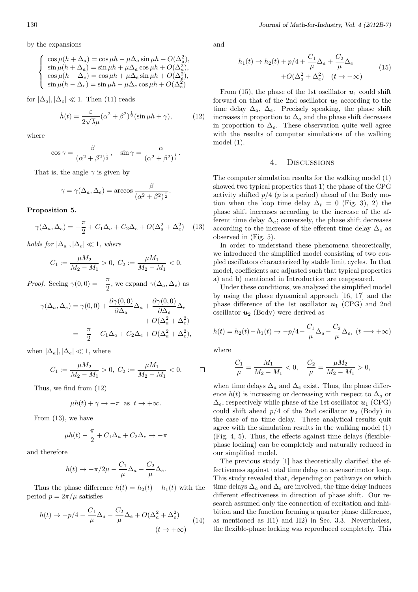by the expansions

$$
\begin{cases}\n\cos \mu (h + \Delta_a) = \cos \mu h - \mu \Delta_a \sin \mu h + O(\Delta_a^2), \\
\sin \mu (h + \Delta_a) = \sin \mu h + \mu \Delta_a \cos \mu h + O(\Delta_a^2), \\
\cos \mu (h - \Delta_e) = \cos \mu h + \mu \Delta_e \sin \mu h + O(\Delta_e^2), \\
\sin \mu (h - \Delta_e) = \sin \mu h - \mu \Delta_e \cos \mu h + O(\Delta_e^2)\n\end{cases}
$$

for  $|\Delta_a|, |\Delta_e| \ll 1$ . Then (11) reads

$$
\dot{h}(t) = \frac{\varepsilon}{2\sqrt{\lambda}\mu} (\alpha^2 + \beta^2)^{\frac{1}{2}} (\sin \mu h + \gamma), \tag{12}
$$

where

$$
\cos \gamma = \frac{\beta}{(\alpha^2 + \beta^2)^{\frac{1}{2}}}, \quad \sin \gamma = \frac{\alpha}{(\alpha^2 + \beta^2)^{\frac{1}{2}}}.
$$

That is, the angle  $\gamma$  is given by

$$
\gamma = \gamma(\Delta_a, \Delta_e) = \arccos \frac{\beta}{(\alpha^2 + \beta^2)^{\frac{1}{2}}}.
$$

**Proposition 5.**

$$
\gamma(\Delta_a, \Delta_e) = -\frac{\pi}{2} + C_1 \Delta_a + C_2 \Delta_e + O(\Delta_a^2 + \Delta_e^2) \tag{13}
$$

*holds for*  $|\Delta_a|, |\Delta_e| \ll 1$ *, where* 

$$
C_1 := \frac{\mu M_2}{M_2 - M_1} > 0, \ C_2 := \frac{\mu M_1}{M_2 - M_1} < 0.
$$

*Proof.* Seeing  $\gamma(0,0) = -\frac{\pi}{2}$  $\frac{\pi}{2}$ , we expand  $\gamma(\Delta_a, \Delta_e)$  as

$$
\gamma(\Delta_a, \Delta_e) = \gamma(0, 0) + \frac{\partial \gamma(0, 0)}{\partial \Delta_a} \Delta_a + \frac{\partial \gamma(0, 0)}{\partial \Delta_e} \Delta_e
$$

$$
+ O(\Delta_a^2 + \Delta_e^2)
$$

$$
= -\frac{\pi}{2} + C_1 \Delta_a + C_2 \Delta_e + O(\Delta_a^2 + \Delta_e^2),
$$

when  $|\Delta_a|, |\Delta_e| \ll 1$ , where

$$
C_1 := \frac{\mu M_2}{M_2 - M_1} > 0, \ C_2 := \frac{\mu M_1}{M_2 - M_1} < 0. \qquad \Box
$$

Thus, we find from (12)

$$
\mu h(t) + \gamma \to -\pi \text{ as } t \to +\infty.
$$

From (13), we have

$$
\mu h(t) - \frac{\pi}{2} + C_1 \Delta_a + C_2 \Delta_e \to -\pi
$$

and therefore

$$
h(t) \to -\pi/2\mu - \frac{C_1}{\mu} \Delta_a - \frac{C_2}{\mu} \Delta_e.
$$

Thus the phase difference  $h(t) = h_2(t) - h_1(t)$  with the period  $p = 2\pi/\mu$  satisfies

$$
h(t) \to -p/4 - \frac{C_1}{\mu} \Delta_a - \frac{C_2}{\mu} \Delta_e + O(\Delta_a^2 + \Delta_e^2)
$$
  

$$
(t \to +\infty)
$$
 (14)

and

$$
h_1(t) \to h_2(t) + p/4 + \frac{C_1}{\mu} \Delta_a + \frac{C_2}{\mu} \Delta_e
$$
  
+ $O(\Delta_a^2 + \Delta_e^2) \quad (t \to +\infty)$  (15)

From  $(15)$ , the phase of the 1st oscillator  $u_1$  could shift forward on that of the 2nd oscillator  $u_2$  according to the time delay  $\Delta_a$ ,  $\Delta_e$ . Precisely speaking, the phase shift increases in proportion to  $\Delta_a$  and the phase shift decreases in proportion to  $\Delta_e$ . These observation quite well agree with the results of computer simulations of the walking model (1).

#### 4. Discussions

The computer simulation results for the walking model (1) showed two typical properties that 1) the phase of the CPG activity shifted *p/*4 (*p* is a period) ahead of the Body motion when the loop time delay  $\Delta_t = 0$  (Fig. 3), 2) the phase shift increases according to the increase of the afferent time delay  $\Delta_a$ ; conversely, the phase shift decreases according to the increase of the efferent time delay ∆*<sup>e</sup>* as observed in (Fig. 5).

In order to understand these phenomena theoretically, we introduced the simplified model consisting of two coupled oscillators characterized by stable limit cycles. In that model, coefficients are adjusted such that typical properties a) and b) mentioned in Introduction are reappeared.

Under these conditions, we analyzed the simplified model by using the phase dynamical approach [16, 17] and the phase difference of the 1st oscillator  $u_1$  (CPG) and 2nd oscillator  $u_2$  (Body) were derived as

$$
h(t) = h_2(t) - h_1(t) \to -p/4 - \frac{C_1}{\mu} \Delta_a - \frac{C_2}{\mu} \Delta_e, \ (t \longrightarrow +\infty)
$$

where

$$
\frac{C_1}{\mu} = \frac{M_1}{M_2 - M_1} < 0, \quad \frac{C_2}{\mu} = \frac{\mu M_2}{M_2 - M_1} > 0,
$$

when time delays  $\Delta_a$  and  $\Delta_e$  exist. Thus, the phase difference  $h(t)$  is increasing or decreasing with respect to  $\Delta_a$  or  $\Delta_e$ , respectively while phase of the 1st oscillator  $u_1$  (CPG) could shift ahead  $p/4$  of the 2nd oscillator  $u_2$  (Body) in the case of no time delay. These analytical results quit agree with the simulation results in the walking model (1) (Fig. 4, 5). Thus, the effects against time delays (flexiblephase locking) can be completely and naturally reduced in our simplified model.

The previous study [1] has theoretically clarified the effectiveness against total time delay on a sensorimotor loop. This study revealed that, depending on pathways on which time delays  $\Delta_a$  and  $\Delta_e$  are involved, the time delay induces different effectiveness in direction of phase shift. Our research assumed only the connection of excitation and inhibition and the function forming a quarter phase difference, as mentioned as H1) and H2) in Sec. 3.3. Nevertheless, the flexible-phase locking was reproduced completely. This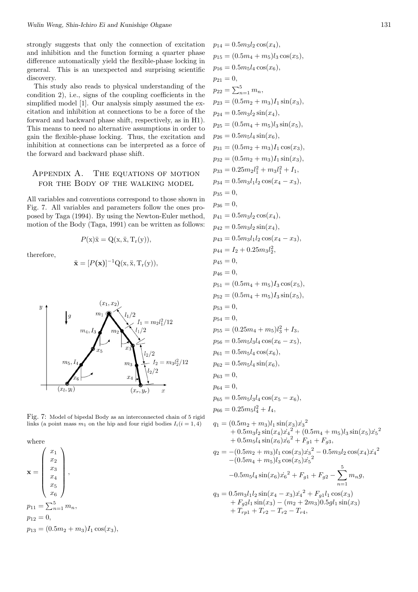strongly suggests that only the connection of excitation and inhibition and the function forming a quarter phase difference automatically yield the flexible-phase locking in general. This is an unexpected and surprising scientific discovery.

This study also reads to physical understanding of the condition 2), i.e., signs of the coupling coefficients in the simplified model [1]. Our analysis simply assumed the excitation and inhibition at connections to be a force of the forward and backward phase shift, respectively, as in H1). This means to need no alternative assumptions in order to gain the flexible-phase locking. Thus, the excitation and inhibition at connections can be interpreted as a force of the forward and backward phase shift.

# Appendix A. The equations of motion for the Body of the walking model

All variables and conventions correspond to those shown in Fig. 7. All variables and parameters follow the ones proposed by Taga (1994). By using the Newton-Euler method, motion of the Body (Taga, 1991) can be written as follows:

therefore,

$$
\ddot{\mathbf{x}} = [P(\mathbf{x})]^{-1} Q(\mathbf{x}, \ddot{\mathbf{x}}, T_{\mathbf{r}}(\mathbf{y})),
$$

 $P(x)$  $\ddot{x} = Q(x, \ddot{x}, T_r(y)),$ 



Fig. 7: Model of bipedal Body as an interconnected chain of 5 rigid links (a point mass  $m_1$  on the hip and four rigid bodies  $I_i(i = 1, 4)$ 

where

 $\mathbf{x} =$  $\int x_1$  $\overline{\phantom{a}}$ *x*2 *x*3 *x*4 *x*5 *x*6  $\setminus$  $\overline{\phantom{a}}$ *,*  $p_{11} = \sum_{n=1}^{5} m_n$  $p_{12} = 0,$  $p_{13} = (0.5m_2 + m_3)I_1 \cos(x_3)$ 

$$
p_{15} = (0.5m_4 + m_5)l_3 \cos(x_5),
$$
  
\n
$$
p_{16} = 0.5m_5l_4 \cos(x_6),
$$
  
\n
$$
p_{21} = 0,
$$
  
\n
$$
p_{22} = \sum_{n=1}^{5} m_n,
$$
  
\n
$$
p_{23} = (0.5m_2 + m_3)l_1 \sin(x_3),
$$
  
\n
$$
p_{24} = 0.5m_3l_2 \sin(x_4),
$$
  
\n
$$
p_{25} = (0.5m_4 + m_5)l_3 \sin(x_5),
$$
  
\n
$$
p_{26} = 0.5m_5l_4 \sin(x_6),
$$
  
\n
$$
p_{31} = (0.5m_2 + m_3)l_1 \cos(x_3),
$$
  
\n
$$
p_{32} = (0.5m_2 + m_3)l_1 \sin(x_3),
$$
  
\n
$$
p_{33} = 0.25m_2l_1^2 + m_3l_1^2 + 1,
$$
  
\n
$$
p_{34} = 0.5m_3l_1l_2 \cos(x_4 - x_3),
$$
  
\n
$$
p_{35} = 0,
$$
  
\n
$$
p_{36} = 0,
$$
  
\n
$$
p_{41} = 0.5m_3l_2 \sin(x_4),
$$
  
\n
$$
p_{42} = 0.5m_3l_2 \sin(x_4),
$$
  
\n
$$
p_{43} = 0.5m_3l_1l_2 \cos(x_4 - x_3),
$$
  
\n
$$
p_{44} = I_2 + 0.25m_3l_2^2,
$$
  
\n
$$
p_{45} = 0,
$$
  
\n
$$
p_{56} = 0,
$$
  
\n
$$
p_{57} = (0.5m_4 + m_5)I_3 \cos(x_5),
$$
  
\n
$$
p_{58} = 0,
$$
  
\n
$$
p_{59} = (0.25m_4 + m_5)l_3 \sin(x_5),
$$
  
\n
$$
p_{50}
$$

 $p_{14} = 0.5 m_3 l_2 \cos(x_4)$ 

$$
q_2 = -(0.5m_2 + m_3)l_1 \cos(x_3)\dot{x}_3^{3} - 0.5m_3l_2 \cos(x_4)\dot{x}_4^{2}
$$
  
\n
$$
-(0.5m_4 + m_5)l_3 \cos(x_5)\dot{x}_5^{2}
$$
  
\n
$$
-0.5m_5l_4 \sin(x_6)\dot{x}_6^{2} + F_{g1} + F_{g2} - \sum_{n=1}^{5} m_n g,
$$
  
\n
$$
q_3 = 0.5m_3l_1l_2 \sin(x_4 - x_3)\dot{x}_4^{2} + F_{g1}l_1 \cos(x_3)
$$
  
\n
$$
+ F_{g2}l_1 \sin(x_3) - (m_2 + 2m_3)0.5gl_1 \sin(x_3)
$$
  
\n
$$
+ T_{r}l_1 + T_{r}l_2 - T_{r}l_3
$$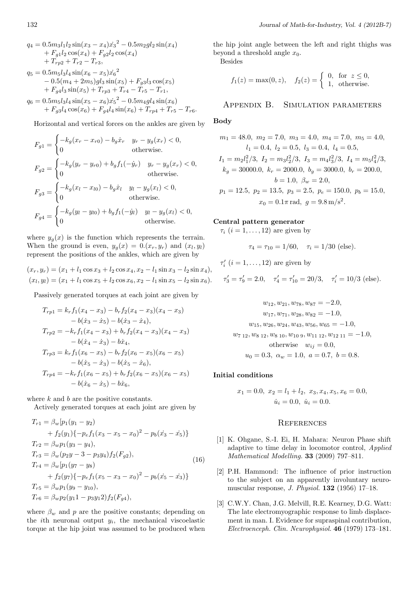$$
q_4 = 0.5m_3l_1l_2 \sin(x_3 - x_4)\dot{x_3}^2 - 0.5m_2gl_2 \sin(x_4) + F_{g1}l_2 \cos(x_4) + F_{g2}l_2 \cos(x_4) + T_{rp2} + T_{r2} - T_{r3},
$$
  

$$
q_5 = 0.5m_5l_3l_4 \sin(x_6 - x_5)\dot{x_6}^2 - 0.5(m_4 + 2m_5)gl_3 \sin(x_5) + F_{g3}l_3 \cos(x_5) + F_{g4}l_3 \sin(x_5) + T_{rp3} + T_{r4} - T_{r5} - T_{r1},
$$
  

$$
q_6 = 0.5m_5l_3l_4 \sin(x_5 - x_6)\dot{x_5}^2 - 0.5m_4gl_4 \sin(x_6) + F_{g3}l_4 \cos(x_6) + F_{g4}l_4 \sin(x_6) + T_{rp4} + T_{r5} - T_{r6}.
$$

Horizontal and vertical forces on the ankles are given by

$$
F_{g1} = \begin{cases} -k_g(x_r - x_{r0}) - b_g \dot{x}_r & y_r - y_g(x_r) < 0, \\ 0 & \text{otherwise.} \end{cases}
$$
  
\n
$$
F_{g2} = \begin{cases} -k_g(y_r - y_{r0}) + b_g f_1(-\dot{y}_r) & y_r - y_g(x_r) < 0, \\ 0 & \text{otherwise.} \end{cases}
$$
  
\n
$$
F_{g3} = \begin{cases} -k_g(x_l - x_{l0}) - b_g \dot{x}_l & y_l - y_g(x_l) < 0, \\ 0 & \text{otherwise.} \end{cases}
$$
  
\n
$$
F_{g4} = \begin{cases} -k_g(y_l - y_{l0}) + b_g f_1(-\dot{y}_l) & y_l - y_g(x_l) < 0, \\ 0 & \text{otherwise.} \end{cases}
$$

where  $y_q(x)$  is the function which represents the terrain. When the ground is even,  $y_g(x) = 0.(x_r, y_r)$  and  $(x_l, y_l)$ represent the positions of the ankles, which are given by

$$
(x_r, y_r) = (x_1 + l_1 \cos x_3 + l_2 \cos x_4, x_2 - l_1 \sin x_3 - l_2 \sin x_4),
$$
  

$$
(x_l, y_l) = (x_1 + l_1 \cos x_5 + l_2 \cos x_6, x_2 - l_1 \sin x_5 - l_2 \sin x_6).
$$

Passively generated torques at each joint are given by

$$
T_{rp1} = k_r f_1(x_4 - x_3) - b_r f_2(x_4 - x_3)(x_4 - x_3)
$$
  
\n
$$
-b(\dot{x}_3 - \dot{x}_5) - b(\dot{x}_3 - \dot{x}_4),
$$
  
\n
$$
T_{rp2} = -k_r f_1(x_4 - x_3) + b_r f_2(x_4 - x_3)(x_4 - x_3)
$$
  
\n
$$
-b(\dot{x}_4 - \dot{x}_3) - b\dot{x}_4,
$$
  
\n
$$
T_{rp3} = k_r f_1(x_6 - x_5) - b_r f_2(x_6 - x_5)(x_6 - x_5)
$$
  
\n
$$
-b(\dot{x}_5 - \dot{x}_3) - b(\dot{x}_5 - \dot{x}_6),
$$
  
\n
$$
T_{rp4} = -k_r f_1(x_6 - x_5) + b_r f_2(x_6 - x_5)(x_6 - x_5)
$$
  
\n
$$
-b(\dot{x}_6 - \dot{x}_5) - b\dot{x}_6,
$$

where *k* and *b* are the positive constants.

Actively generated torques at each joint are given by

$$
T_{r1} = \beta_w [p_1(y_1 - y_2)
$$
  
+  $f_2(y_1) \{-p_e f_1(x_3 - x_5 - x_0)^2 - p_b(x_3 - x_5)\}$   
 $T_{r2} = \beta_w p_1(y_3 - y_4),$   
 $T_{r3} = \beta_w (p_2y - 3 - p_3y_4) f_2(F_{g2}),$   
 $T_{r4} = \beta_w [p_1(y_7 - y_8)$   
+  $f_2(y_7) \{-p_e f_1(x_5 - x_3 - x_0)^2 - p_b(x_5 - x_3)\}$   
 $T_{r5} = \beta_w p_1(y_9 - y_{10}),$   
 $T_{r6} = \beta_w p_2(y_11 - p_3y_12) f_2(F_{g4}),$  (16)

where  $\beta_w$  and *p* are the positive constants; depending on the *i*th neuronal output  $y_i$ , the mechanical viscoelastic torque at the hip joint was assumed to be produced when

the hip joint angle between the left and right thighs was beyond a threshold angle  $x_0$ .

Besides

$$
f_1(z) = \max(0, z), \quad f_2(z) = \begin{cases} 0, & \text{for } z \le 0, \\ 1, & \text{otherwise.} \end{cases}
$$

Appendix B. Simulation parameters

### **Body**

$$
m_1 = 48.0, m_2 = 7.0, m_3 = 4.0, m_4 = 7.0, m_5 = 4.0,
$$
  
\n $l_1 = 0.4, l_2 = 0.5, l_3 = 0.4, l_4 = 0.5,$   
\n $I_1 = m_2 l_1^2 / 3, I_2 = m_3 l_2^2 / 3, I_3 = m_4 l_3^2 / 3, I_4 = m_5 l_4^2 / 3,$   
\n $k_g = 30000.0, k_r = 2000.0, b_g = 3000.0, b_r = 200.0,$   
\n $b = 1.0, \beta_w = 2.0,$   
\n $p_1 = 12.5, p_2 = 13.5, p_3 = 2.5, p_e = 150.0, p_b = 15.0,$   
\n $x_0 = 0.1\pi \text{ rad}, g = 9.8 \text{ m/s}^2.$ 

## **Central pattern generator**

 $\tau_i$  ( $i = 1, \ldots, 12$ ) are given by

$$
\tau_4 = \tau_{10} = 1/60, \quad \tau_i = 1/30 \text{ (else)}.
$$

$$
\tau'_i
$$
 (*i* = 1,..., 12) are given by

$$
\tau'_3 = \tau'_9 = 2.0
$$
,  $\tau'_4 = \tau'_{10} = 20/3$ ,  $\tau'_i = 10/3$  (else).

$$
w_{12}, w_{21}, w_{78}, w_{87} = -2.0,
$$
  
\n
$$
w_{17}, w_{71}, w_{28}, w_{82} = -1.0,
$$
  
\n
$$
w_{15}, w_{26}, w_{24}, w_{43}, w_{56}, w_{65} = -1.0,
$$
  
\n
$$
w_{7\ 12}, w_{8\ 12}, w_{8\ 10}, w_{10\ 9}, w_{11\ 12}, w_{12\ 11} = -1.0,
$$
  
\notherwise 
$$
w_{ij} = 0.0,
$$
  
\n
$$
u_0 = 0.3, \ \alpha_w = 1.0, \ a = 0.7, \ b = 0.8.
$$

### **Initial conditions**

$$
x_1 = 0.0
$$
,  $x_2 = l_1 + l_2$ ,  $x_3, x_4, x_5, x_6 = 0.0$ ,  
 $\dot{u}_i = 0.0$ ,  $\dot{u}_i = 0.0$ .

#### **REFERENCES**

- [1] K. Ohgane, S.-I. Ei, H. Mahara: Neuron Phase shift adaptive to time delay in locomotor control, *Applied Mathematical Modelling.* **33** (2009) 797–811.
- [2] P.H. Hammond: The influence of prior instruction to the subject on an apparently involuntary neuromuscular response, *J. Physiol.* **132** (1956) 17–18.
- [3] C.W.Y. Chan, J.G. Melvill, R.E. Kearney, D.G. Watt: The late electromyographic response to limb displacement in man. I. Evidence for supraspinal contribution, *Electroenceph. Clin. Neurophysiol.* **46** (1979) 173–181.